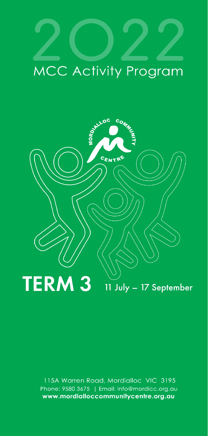### MCC Activity Program



115A Warren Road, Mordialloc VIC 3195 Phone: 9580 3675 | Email: info@mordicc.org.au www.mordialloccommunitycentre.org.au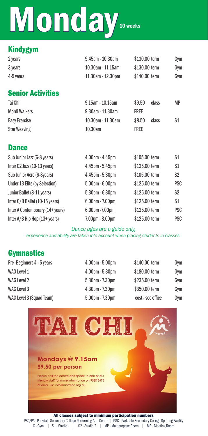## Monday 10 weeks

### Kindygym

| 2 years   | 9.45am - 10.30am  | \$130,00 term | Gvm |
|-----------|-------------------|---------------|-----|
| 3 years   | 10.30am - 11.15am | \$130,00 term | Gvm |
| 4-5 years | 11.30am - 12.30pm | \$140,00 term | Gvm |
|           |                   |               |     |

### Senior Activities

| Tai Chi              | $9.15$ am - 10.15am | \$9.50      | class | МP |
|----------------------|---------------------|-------------|-------|----|
| <b>Mordi Walkers</b> | 9.30am - 11.30am    | <b>FREE</b> |       |    |
| Easy Exercise        | 10.30am - 11.30am   | \$8.50      | class | S1 |
| <b>Star Weaving</b>  | 10.30am             | Free        |       |    |

### **Dance**

| Sub Junior Jazz (6-8 years)      | $4.00pm - 4.45pm$     | \$105,00 term | S1             |
|----------------------------------|-----------------------|---------------|----------------|
| Inter C2 Jazz (10-13 years)      | $4.45$ pm $-5.45$ pm  | \$125.00 term | S1             |
| Sub Junior Acro (6-8years)       | $4.45$ pm - $5.30$ pm | \$105.00 term | S <sub>2</sub> |
| Under 13 Elite (by Selection)    | $5.00pm - 6.00pm$     | \$125,00 term | <b>PSC</b>     |
| Junior Ballet (8-11 years)       | $5.30pm - 6.30pm$     | \$125.00 term | S <sub>2</sub> |
| Inter C/B Ballet (10-15 years)   | $6.00pm - 7.00pm$     | \$125,00 term | S <sub>1</sub> |
| Inter A Contemporary (14+ years) | $6.00pm - 7.00pm$     | \$125.00 term | <b>PSC</b>     |
| Inter A/B Hip Hop (13+ years)    | $7.00pm - 8.00pm$     | \$125.00 term | <b>PSC</b>     |
|                                  |                       |               |                |

*Dance ages are a guide only, experience and ability are taken into account when placing students in classes.*

### **Gymnastics**

| Pre-Beginners 4 - 5 years | $4.00pm - 5.00pm$ | \$140.00 term     | Gym |
|---------------------------|-------------------|-------------------|-----|
| WAG Level 1               | $4.00pm - 5.30pm$ | \$180,00 term     | Gym |
| WAG Level 2               | 5.30pm - 7.30pm   | \$235,00 term     | Gym |
| WAG Level 3               | $4.30pm - 7.30pm$ | \$350,00 term     | Gym |
| WAG Level 3 (Squad Team)  | $5.00pm - 7.30pm$ | cost - see office | Gym |



PSC/PA - Parkdale Secondary College Performing Arts Centre | PSC - Parkdale Secondary College Sporting Facility G - Gym | S1 - Studio 1 | S2 - Studio 2 | MP - Multipurpose Room | MR - Meeting Room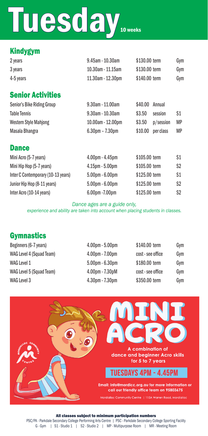## Tuesday **In Wester**

### Kindygym

| 2 years   | $9.45$ am - 10.30am | \$130,00 term | Gvm |
|-----------|---------------------|---------------|-----|
| 3 years   | 10.30am - 11.15am   | \$130,00 term | Gvm |
| 4-5 years | 11.30am - 12.30pm   | \$140,00 term | Gvm |
|           |                     |               |     |

### Senior Activities

| Senior's Bike Riding Group   | $9.30$ am - 11.00am   | \$40.00 Annual |           |           |
|------------------------------|-----------------------|----------------|-----------|-----------|
| <b>Table Tennis</b>          | $9.30$ am - 10.30am   | \$3.50         | session   | S1        |
| <b>Western Style Mahjong</b> | 10.00am - 12.00pm     | \$3.50         | p/session | <b>MP</b> |
| Masala Bhangra               | $6.30$ pm – $7.30$ pm | \$10.00        | per class | <b>MP</b> |

### **Dance Dance Dance** *Contract <b>Contract*

| Mini Acro (5-7 years)              | $4.00pm - 4.45pm$     | \$105,00 term | S1             |
|------------------------------------|-----------------------|---------------|----------------|
| Mini Hip Hop (5-7 years)           | $4.15$ pm - $5.00$ pm | \$105,00 term | S2             |
| Inter C Contemporary (10-13 years) | $5.00$ pm - $6.00$ pm | \$125,00 term | S1             |
| Junior Hip Hop (8-11 years)        | $5.00$ pm $-6.00$ pm  | \$125,00 term | S2             |
| Inter Acro (10-14 years)           | 6.00pm - 7.00pm       | \$125,00 term | S <sub>2</sub> |

### *Dance ages are a guide only,*

*experience and ability are taken into account when placing students in classes.*

### **Gymnastics**

| Beginners (6-7 years)    | $4.00pm - 5.00pm$ | \$140.00 term     | Gym |
|--------------------------|-------------------|-------------------|-----|
| WAG Level 4 (Squad Team) | $4.00pm - 7.00pm$ | cost - see office | Gvm |
| <b>WAG Level 1</b>       | $5.00pm - 6.30pm$ | \$180,00 term     | Gvm |
| WAG Level 5 (Squad Team) | $4.00pm - 7.30pM$ | cost - see office | Gym |
| WAG Level 3              | $4.30pm - 7.30pm$ | \$350,00 term     | Gym |



All classes subject to minimum participation numbers<br>PSC/PA - Parkdale Secondary College Performing Arts Centre | PSC - Parkdale Secondary College Sporting Facility G - Gym | S1 - Studio 1 | S2 - Studio 2 | MP - Multipurpose Room | MR - Meeting Room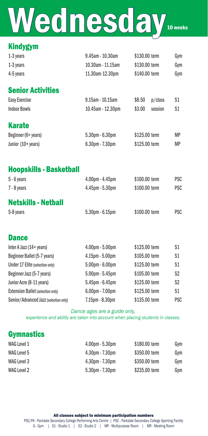## Wednesday 10 weeks

### Kindygym

| 1-3 years | $9.45$ am - 10.30am | \$130,00 term | Gvm |
|-----------|---------------------|---------------|-----|
| 1-3 years | 10.30am - 11.15am   | \$130,00 term | Gym |
| 4-5 years | 11.30am-12.30pm     | \$140,00 term | Gym |

### Senior Activities

| Easy Exercise       | $9.15$ am - 10.15am                                     | \$8.50<br>p/class | S1   |
|---------------------|---------------------------------------------------------|-------------------|------|
| <b>Indoor Bowls</b> | 10.45am - 12.30pm                                       | \$3.00<br>session | S1   |
| <b>Karate</b>       |                                                         |                   |      |
| $D = d = 0$         | $F \cap \cap_{n \to \infty}$ $\cap \cap_{n \to \infty}$ | $AADE$ $AOL2$     | 8.8D |

| Beginner (6+ years) | $5.30pm - 6.30pm$ | \$125.00 term | MР        |
|---------------------|-------------------|---------------|-----------|
| Junior (10+ years)  | $6.30pm - 7.30pm$ | \$125,00 term | <b>MP</b> |

### Hoopskills - Basketball

| $5 - 6$ years              | $4.00pm - 4.45pm$     | \$100,00 term | <b>PSC</b> |
|----------------------------|-----------------------|---------------|------------|
| 7 - 8 years                | $4.45$ pm - $5.30$ pm | \$100,00 term | <b>PSC</b> |
| <b>Netskills - Netball</b> |                       |               |            |
| 5-8 years                  | $5.30$ pm - $6.15$ pm | \$100,00 term | <b>PSC</b> |

### **Dance**

| Inter A Jazz $(14 + \text{years})$    | $4.00pm - 5.00pm$     | \$125.00 term | S1             |
|---------------------------------------|-----------------------|---------------|----------------|
| Beginner Ballet (5-7 years)           | $4.15$ pm $- 5.00$ pm | \$105,00 term | S <sub>1</sub> |
| Under 17 Elite (selection only)       | $5.00pm - 6.00pm$     | \$125.00 term | S1             |
| Beginner Jazz (5-7 years)             | $5.00pm - 5.45pm$     | \$105.00 term | S <sub>2</sub> |
| Junior Acro (8-11 years)              | $5.45$ pm - $6.45$ pm | \$125,00 term | S <sub>2</sub> |
| Extension Ballet (selection only)     | $6.00pm - 7.00pm$     | \$125,00 term | S <sub>1</sub> |
| Senior/Advanced Jazz (selection only) | $7.15pm - 8.30pm$     | \$135,00 term | <b>PSC</b>     |

### *Dance ages are a guide only,*

*experience and ability are taken into account when placing students in classes.*

### **Gymnastics**

| WAG Level 1 | $4.00$ pm - $5.30$ pm | \$180,00 term | Gvm |
|-------------|-----------------------|---------------|-----|
| WAG Level 5 | $4.30pm - 7.30pm$     | \$350,00 term | Gvm |
| WAG Level 3 | $4.30pm - 7.30pm$     | \$350,00 term | Gvm |
| WAG Level 2 | $5.30$ pm - $7.30$ pm | \$235,00 term | Gym |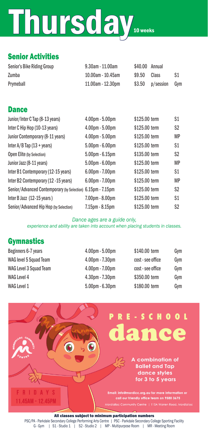# Thursday 10 weeks

### Senior Activities

| Senior's Bike Riding Group | $9.30$ am - 11.00am | \$40,00 Annual |                   |     |
|----------------------------|---------------------|----------------|-------------------|-----|
| Zumba                      | 10.00am - 10.45am   | \$9.50         | Class             | S1  |
| Prymeball                  | 11.00am - 12.30pm   |                | $$3.50$ p/session | Gvm |

| <b>Dance</b>                                                |                   |               |                |
|-------------------------------------------------------------|-------------------|---------------|----------------|
| Junior/Inter C Tap (8-13 years)                             | $4.00pm - 5.00pm$ | \$125.00 term | S1             |
| Inter C Hip Hop (10-13 years)                               | $4.00pm - 5.00pm$ | \$125.00 term | S2             |
| Junior Contemporary (8-11 years)                            | $4.00pm - 5.00pm$ | \$125.00 term | MP             |
| Inter $A/B$ Tap (13 + years)                                | $5.00pm - 6.00pm$ | \$125.00 term | S <sub>1</sub> |
| Open Elite (by Selection)                                   | $5.00pm - 6.15pm$ | \$135.00 term | S <sub>2</sub> |
| Junior Jazz (8-11 years)                                    | $5.00pm - 6.00pm$ | \$125.00 term | MP             |
| Inter B1 Contemporary (12-15 years)                         | $6.00pm - 7.00pm$ | \$125.00 term | S <sub>1</sub> |
| Inter B2 Contemporary (12 - 15 years)                       | $6.00pm - 7.00pm$ | \$125.00 term | <b>MP</b>      |
| Senior/Advanced Contemporary (by Selection) 6.15pm - 7.15pm |                   | \$125.00 term | S2             |
| Inter B Jazz (12-15 years)                                  | 7.00pm - 8.00pm   | \$125.00 term | S1             |
| Senior/Advanced Hip Hop (by Selection)                      | 7.15pm - 8.15pm   | \$125.00 term | S <sub>2</sub> |

### *Dance ages are a guide only,*

*experience and ability are taken into account when placing students in classes.*

### **Gymnastics**

| Beginners 6-7 years    | $4.00pm - 5.00pm$ | \$140,00 term     | Gym |
|------------------------|-------------------|-------------------|-----|
| WAG level 5 Squad Team | $4.00pm - 7.30pm$ | cost - see office | Gym |
| WAG Level 3 Squad Team | $4.00pm - 7.00pm$ | cost - see office | Gvm |
| WAG Level 4            | $4.30pm - 7.30pm$ | \$350,00 term     | Gvm |
| WAG Level 1            | $5.00pm - 6.30pm$ | \$180.00 term     | Gym |



PSC/PA - Parkdale Secondary College Performing Arts Centre | PSC - Parkdale Secondary College Sporting Facility G - Gym | S1 - Studio 1 | S2 - Studio 2 | MP - Multipurpose Room | MR - Meeting Room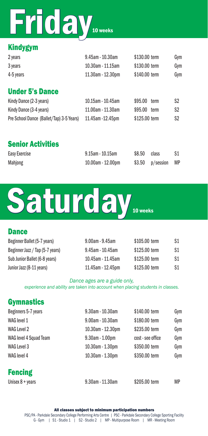## Friday<sub>10 weeks</sub>

### Kindygym

| 2 years                                  | 9.45am - 10.30am  | \$130,00 term   | Gym                    |
|------------------------------------------|-------------------|-----------------|------------------------|
| 3 years                                  | 10.30am - 11.15am | \$130.00 term   | Gym                    |
| 4-5 years                                | 11.30am - 12.30pm | \$140.00 term   | Gym                    |
| <b>Under 5's Dance</b>                   |                   |                 |                        |
| Kindy Dance (2-3 years)                  | 10.15am - 10.45am | \$95.00<br>term | S <sub>2</sub>         |
| Kindy Dance (3-4 years)                  | 11.00am - 11.30am | \$95.00 term    | S <sub>2</sub>         |
| Pre School Dance (Ballet/Tap) 3-5 Years) | 11.45am - 12.45pm | \$125.00 term   | S <sub>2</sub>         |
| <b>Senior Activities</b>                 |                   |                 |                        |
| Easy Exercise                            | 9.15am - 10.15am  | \$8.50<br>class | S1                     |
| Mahjong                                  | 10.00am - 12.00pm | \$3.50          | <b>MP</b><br>p/session |



### **Dance** Beginner Ballet (5-7 years) 9.00am - 9.45am \$105.00 term S1 Beginner Jazz / Tap (5-7 years) 9.45am - 10.45am \$125.00 term S1 Sub Junior Ballet (6-8 years) 10.45am - 11.45am \$125.00 term \$1 Junior Jazz (8-11 years) 11.45am - 12.45pm \$125.00 term S1

### *Dance ages are a guide only,*

*experience and ability are taken into account when placing students in classes.*

### **Gymnastics**

| Beginners 5-7 years       | 9.30am - 10.30am      | \$140.00 term     | Gym |
|---------------------------|-----------------------|-------------------|-----|
| WAG level 1               | $9.00$ am - 10.30am   | \$180.00 term     | Gym |
| WAG Level 2               | 10.30am - 12.30pm     | \$235,00 term     | Gym |
| WAG level 4 Squad Team    | $9.30$ am - $1.00$ pm | cost - see office | Gym |
| WAG Level 3               | 10.30am - 1.30pm      | \$350,00 term     | Gym |
| WAG level 4               | 10.30am - 1.30pm      | \$350,00 term     | Gym |
| <b>Fencing</b>            |                       |                   |     |
| Unisex $8 + \text{years}$ | $9.30$ am - 11.30am   | \$205.00 term     | МP  |